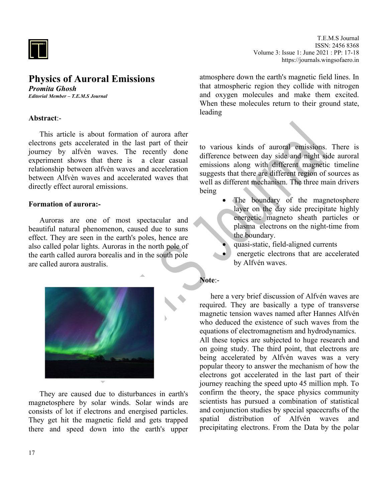

# **Physics of Auroral Emissions**

*Promita Ghosh Editorial Member – T.E.M.S Journal*

### **Abstract**:-

This article is about formation of aurora after electrons gets accelerated in the last part of their journey by alfvèn waves. The recently done experiment shows that there is a clear casual relationship between alfvèn waves and acceleration between Alfvèn waves and accelerated waves that directly effect auroral emissions.

#### **Formation of aurora:-**

Auroras are one of most spectacular and beautiful natural phenomenon, caused due to suns effect. They are seen in the earth's poles, hence are also called polar lights. Auroras in the north pole of the earth called aurora borealis and in the south pole are called aurora australis.



They are caused due to disturbances in earth's magnetosphere by solar winds. Solar winds are consists of lot if electrons and energised particles. They get hit the magnetic field and gets trapped there and speed down into the earth's upper

T.E.M.S Journal ISSN: 2456 8368 Volume 3: Issue 1: June 2021 : PP: 17-18 https://journals.wingsofaero.in

atmosphere down the earth's magnetic field lines. In that atmospheric region they collide with nitrogen and oxygen molecules and make them excited. When these molecules return to their ground state, leading

to various kinds of auroral emissions. There is difference between day side and night side auroral emissions along with different magnetic timeline suggests that there are different region of sources as well as different mechanism. The three main drivers being

- The boundary of the magnetosphere layer on the day side precipitate highly energetic magneto sheath particles or plasma electrons on the night-time from the boundary.
- quasi-static, field-aligned currents
- energetic electrons that are accelerated by Alfvén waves.

### **Note**:-

here a very brief discussion of Alfvén waves are required. They are basically a type of transverse magnetic tension waves named after Hannes Alfvén who deduced the existence of such waves from the equations of electromagnetism and hydrodynamics. All these topics are subjected to huge research and on going study. The third point, that electrons are being accelerated by Alfvén waves was a very popular theory to answer the mechanism of how the electrons got accelerated in the last part of their journey reaching the speed upto 45 million mph. To confirm the theory, the space physics community scientists has pursued a combination of statistical and conjunction studies by special spacecrafts of the spatial distribution of Alfvén waves and precipitating electrons. From the Data by the polar